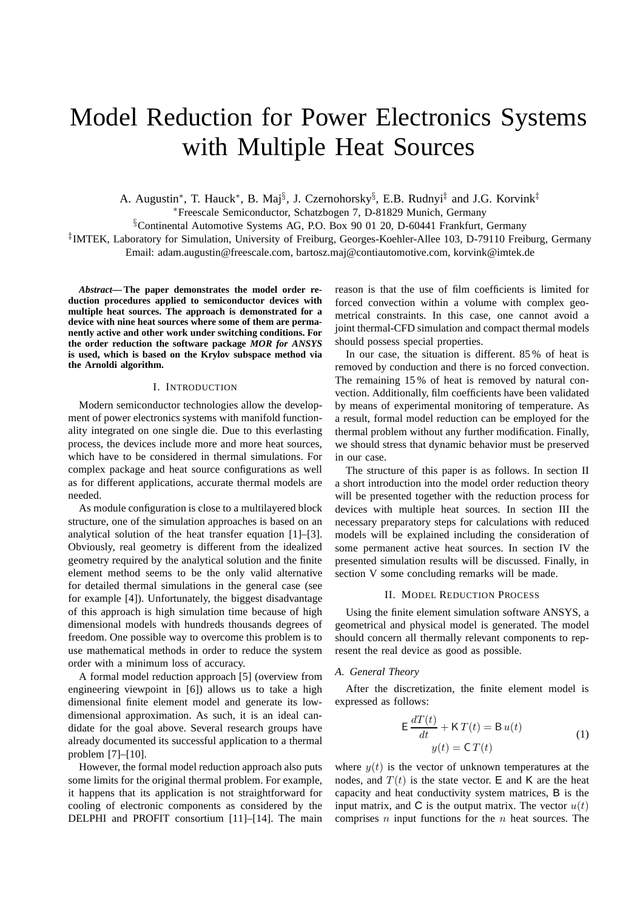# Model Reduction for Power Electronics Systems with Multiple Heat Sources

A. Augustin<sup>\*</sup>, T. Hauck<sup>\*</sup>, B. Maj<sup>§</sup>, J. Czernohorsky<sup>§</sup>, E.B. Rudnyi<sup>‡</sup> and J.G. Korvink<sup>‡</sup>

<sup>∗</sup>Freescale Semiconductor, Schatzbogen 7, D-81829 Munich, Germany

§Continental Automotive Systems AG, P.O. Box 90 01 20, D-60441 Frankfurt, Germany

‡ IMTEK, Laboratory for Simulation, University of Freiburg, Georges-Koehler-Allee 103, D-79110 Freiburg, Germany Email: adam.augustin@freescale.com, bartosz.maj@contiautomotive.com, korvink@imtek.de

*Abstract***— The paper demonstrates the model order reduction procedures applied to semiconductor devices with multiple heat sources. The approach is demonstrated for a device with nine heat sources where some of them are permanently active and other work under switching conditions. For the order reduction the software package** *MOR for ANSYS* **is used, which is based on the Krylov subspace method via the Arnoldi algorithm.**

# I. INTRODUCTION

Modern semiconductor technologies allow the development of power electronics systems with manifold functionality integrated on one single die. Due to this everlasting process, the devices include more and more heat sources, which have to be considered in thermal simulations. For complex package and heat source configurations as well as for different applications, accurate thermal models are needed.

As module configuration is close to a multilayered block structure, one of the simulation approaches is based on an analytical solution of the heat transfer equation [1]–[3]. Obviously, real geometry is different from the idealized geometry required by the analytical solution and the finite element method seems to be the only valid alternative for detailed thermal simulations in the general case (see for example [4]). Unfortunately, the biggest disadvantage of this approach is high simulation time because of high dimensional models with hundreds thousands degrees of freedom. One possible way to overcome this problem is to use mathematical methods in order to reduce the system order with a minimum loss of accuracy.

A formal model reduction approach [5] (overview from engineering viewpoint in [6]) allows us to take a high dimensional finite element model and generate its lowdimensional approximation. As such, it is an ideal candidate for the goal above. Several research groups have already documented its successful application to a thermal problem [7]–[10].

However, the formal model reduction approach also puts some limits for the original thermal problem. For example, it happens that its application is not straightforward for cooling of electronic components as considered by the DELPHI and PROFIT consortium [11]–[14]. The main reason is that the use of film coefficients is limited for forced convection within a volume with complex geometrical constraints. In this case, one cannot avoid a joint thermal-CFD simulation and compact thermal models should possess special properties.

In our case, the situation is different. 85 % of heat is removed by conduction and there is no forced convection. The remaining 15 % of heat is removed by natural convection. Additionally, film coefficients have been validated by means of experimental monitoring of temperature. As a result, formal model reduction can be employed for the thermal problem without any further modification. Finally, we should stress that dynamic behavior must be preserved in our case.

The structure of this paper is as follows. In section II a short introduction into the model order reduction theory will be presented together with the reduction process for devices with multiple heat sources. In section III the necessary preparatory steps for calculations with reduced models will be explained including the consideration of some permanent active heat sources. In section IV the presented simulation results will be discussed. Finally, in section V some concluding remarks will be made.

## II. MODEL REDUCTION PROCESS

Using the finite element simulation software ANSYS, a geometrical and physical model is generated. The model should concern all thermally relevant components to represent the real device as good as possible.

# *A. General Theory*

After the discretization, the finite element model is expressed as follows:

$$
\mathsf{E}\frac{dT(t)}{dt} + \mathsf{K}\,T(t) = \mathsf{B}\,u(t)
$$
  

$$
y(t) = \mathsf{C}\,T(t)
$$
 (1)

where  $y(t)$  is the vector of unknown temperatures at the nodes, and  $T(t)$  is the state vector. E and K are the heat capacity and heat conductivity system matrices, B is the input matrix, and  $C$  is the output matrix. The vector  $u(t)$ comprises  $n$  input functions for the  $n$  heat sources. The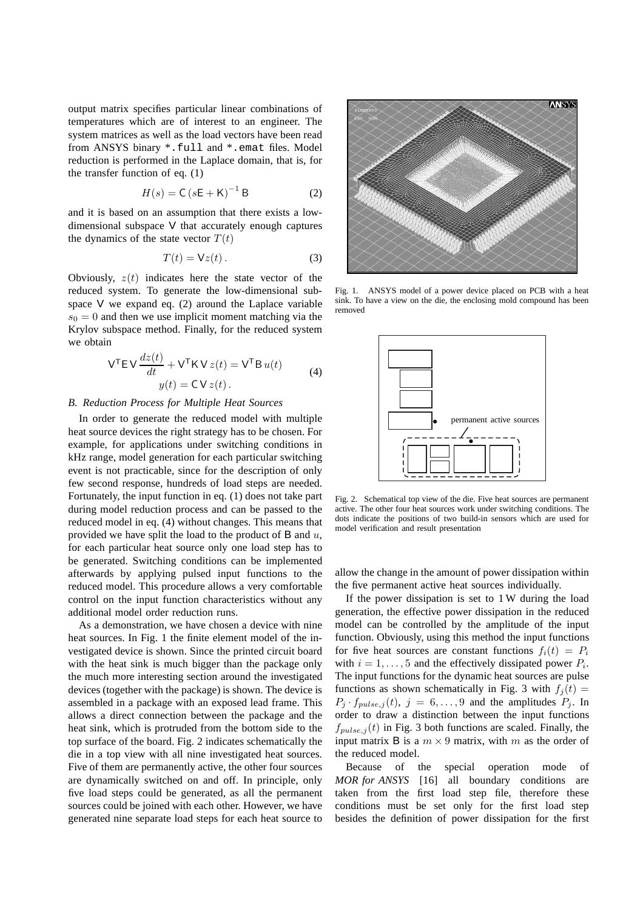output matrix specifies particular linear combinations of temperatures which are of interest to an engineer. The system matrices as well as the load vectors have been read from ANSYS binary \*.full and \*.emat files. Model reduction is performed in the Laplace domain, that is, for the transfer function of eq. (1)

$$
H(s) = C\left(sE + K\right)^{-1}B\tag{2}
$$

and it is based on an assumption that there exists a lowdimensional subspace V that accurately enough captures the dynamics of the state vector  $T(t)$ 

$$
T(t) = Vz(t).
$$
 (3)

Obviously,  $z(t)$  indicates here the state vector of the reduced system. To generate the low-dimensional subspace V we expand eq. (2) around the Laplace variable  $s_0 = 0$  and then we use implicit moment matching via the Krylov subspace method. Finally, for the reduced system we obtain

$$
\mathsf{V}^{\mathsf{T}} \mathsf{E} \,\mathsf{V} \,\frac{dz(t)}{dt} + \mathsf{V}^{\mathsf{T}} \,\mathsf{K} \,\mathsf{V} \, z(t) = \mathsf{V}^{\mathsf{T}} \,\mathsf{B} \, u(t) \ny(t) = \mathsf{C} \,\mathsf{V} \, z(t).
$$
\n<sup>(4)</sup>

## *B. Reduction Process for Multiple Heat Sources*

In order to generate the reduced model with multiple heat source devices the right strategy has to be chosen. For example, for applications under switching conditions in kHz range, model generation for each particular switching event is not practicable, since for the description of only few second response, hundreds of load steps are needed. Fortunately, the input function in eq. (1) does not take part during model reduction process and can be passed to the reduced model in eq. (4) without changes. This means that provided we have split the load to the product of  $\bf{B}$  and  $u$ , for each particular heat source only one load step has to be generated. Switching conditions can be implemented afterwards by applying pulsed input functions to the reduced model. This procedure allows a very comfortable control on the input function characteristics without any additional model order reduction runs.

As a demonstration, we have chosen a device with nine heat sources. In Fig. 1 the finite element model of the investigated device is shown. Since the printed circuit board with the heat sink is much bigger than the package only the much more interesting section around the investigated devices (together with the package) is shown. The device is assembled in a package with an exposed lead frame. This allows a direct connection between the package and the heat sink, which is protruded from the bottom side to the top surface of the board. Fig. 2 indicates schematically the die in a top view with all nine investigated heat sources. Five of them are permanently active, the other four sources are dynamically switched on and off. In principle, only five load steps could be generated, as all the permanent sources could be joined with each other. However, we have generated nine separate load steps for each heat source to



Fig. 1. ANSYS model of a power device placed on PCB with a heat sink. To have a view on the die, the enclosing mold compound has been removed



Fig. 2. Schematical top view of the die. Five heat sources are permanent active. The other four heat sources work under switching conditions. The dots indicate the positions of two build-in sensors which are used for model verification and result presentation

allow the change in the amount of power dissipation within the five permanent active heat sources individually.

If the power dissipation is set to 1 W during the load generation, the effective power dissipation in the reduced model can be controlled by the amplitude of the input function. Obviously, using this method the input functions for five heat sources are constant functions  $f_i(t) = P_i$ with  $i = 1, \ldots, 5$  and the effectively dissipated power  $P_i$ . The input functions for the dynamic heat sources are pulse functions as shown schematically in Fig. 3 with  $f_j(t)$  =  $P_j \tcdot f_{pulse,j}(t), j = 6, \ldots, 9$  and the amplitudes  $P_j$ . In order to draw a distinction between the input functions  $f_{pulse,i}(t)$  in Fig. 3 both functions are scaled. Finally, the input matrix B is a  $m \times 9$  matrix, with m as the order of the reduced model.

Because of the special operation mode of *MOR for ANSYS* [16] all boundary conditions are taken from the first load step file, therefore these conditions must be set only for the first load step besides the definition of power dissipation for the first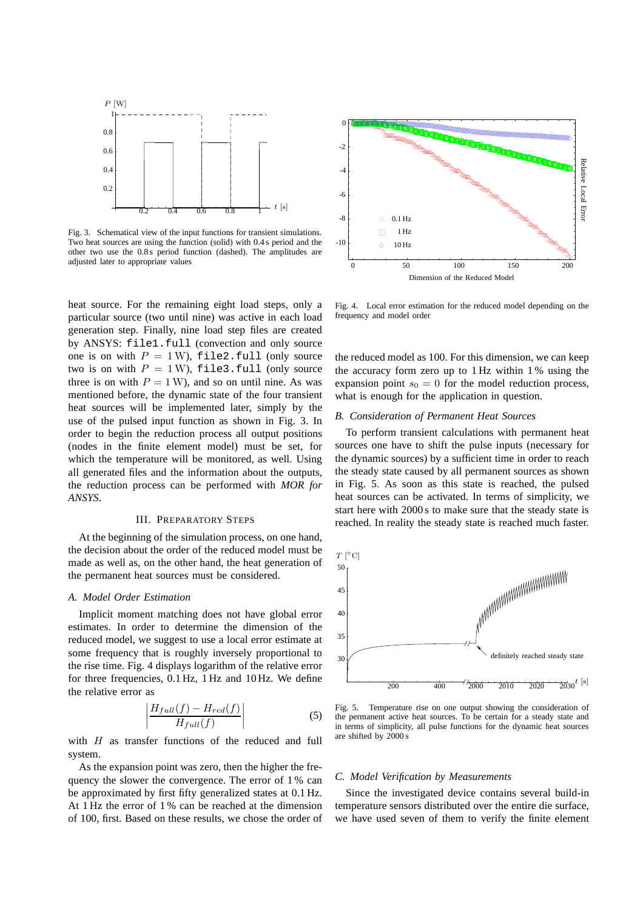

Fig. 3. Schematical view of the input functions for transient simulations. Two heat sources are using the function (solid) with 0.4 s period and the other two use the 0.8 s period function (dashed). The amplitudes are adjusted later to appropriate values

heat source. For the remaining eight load steps, only a particular source (two until nine) was active in each load generation step. Finally, nine load step files are created by ANSYS: file1.full (convection and only source one is on with  $P = 1$  W), file2.full (only source two is on with  $P = 1$  W), file3.full (only source three is on with  $P = 1$  W), and so on until nine. As was mentioned before, the dynamic state of the four transient heat sources will be implemented later, simply by the use of the pulsed input function as shown in Fig. 3. In order to begin the reduction process all output positions (nodes in the finite element model) must be set, for which the temperature will be monitored, as well. Using all generated files and the information about the outputs, the reduction process can be performed with *MOR for ANSYS*.

## III. PREPARATORY STEPS

At the beginning of the simulation process, on one hand, the decision about the order of the reduced model must be made as well as, on the other hand, the heat generation of the permanent heat sources must be considered.

# *A. Model Order Estimation*

Implicit moment matching does not have global error estimates. In order to determine the dimension of the reduced model, we suggest to use a local error estimate at some frequency that is roughly inversely proportional to the rise time. Fig. 4 displays logarithm of the relative error for three frequencies, 0.1 Hz, 1 Hz and 10 Hz. We define the relative error as

$$
\left| \frac{H_{full}(f) - H_{red}(f)}{H_{full}(f)} \right| \tag{5}
$$

with  $H$  as transfer functions of the reduced and full system.

As the expansion point was zero, then the higher the frequency the slower the convergence. The error of 1 % can be approximated by first fifty generalized states at 0.1 Hz. At 1 Hz the error of 1 % can be reached at the dimension of 100, first. Based on these results, we chose the order of



Fig. 4. Local error estimation for the reduced model depending on the frequency and model order

the reduced model as 100. For this dimension, we can keep the accuracy form zero up to 1 Hz within 1 % using the expansion point  $s_0 = 0$  for the model reduction process, what is enough for the application in question.

### *B. Consideration of Permanent Heat Sources*

To perform transient calculations with permanent heat sources one have to shift the pulse inputs (necessary for the dynamic sources) by a sufficient time in order to reach the steady state caused by all permanent sources as shown in Fig. 5. As soon as this state is reached, the pulsed heat sources can be activated. In terms of simplicity, we start here with 2000 s to make sure that the steady state is reached. In reality the steady state is reached much faster.



Fig. 5. Temperature rise on one output showing the consideration of the permanent active heat sources. To be certain for a steady state and in terms of simplicity, all pulse functions for the dynamic heat sources are shifted by 2000 s

## *C. Model Verification by Measurements*

Since the investigated device contains several build-in temperature sensors distributed over the entire die surface, we have used seven of them to verify the finite element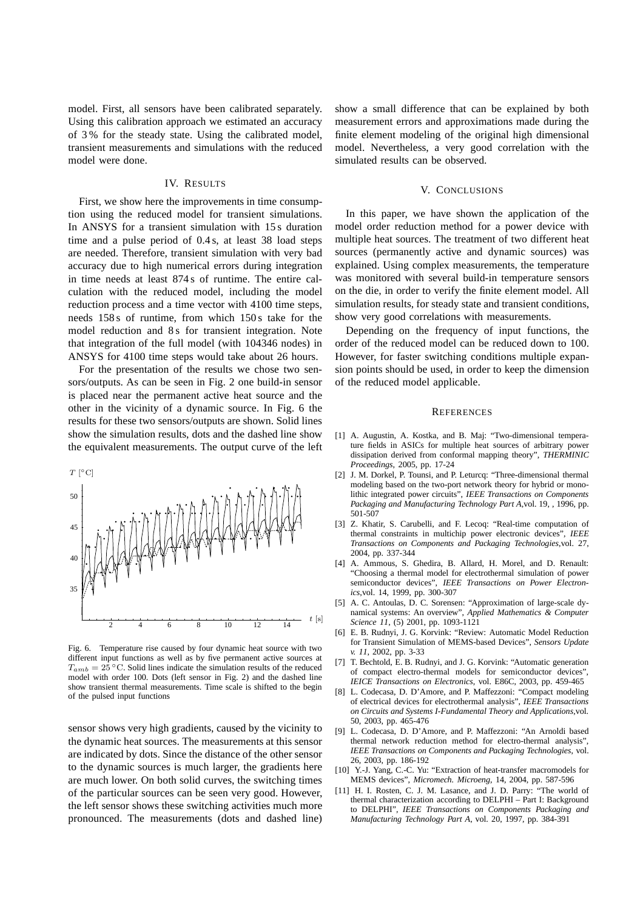model. First, all sensors have been calibrated separately. Using this calibration approach we estimated an accuracy of 3 % for the steady state. Using the calibrated model, transient measurements and simulations with the reduced model were done.

# IV. RESULTS

First, we show here the improvements in time consumption using the reduced model for transient simulations. In ANSYS for a transient simulation with 15 s duration time and a pulse period of 0.4 s, at least 38 load steps are needed. Therefore, transient simulation with very bad accuracy due to high numerical errors during integration in time needs at least 874 s of runtime. The entire calculation with the reduced model, including the model reduction process and a time vector with 4100 time steps, needs 158 s of runtime, from which 150 s take for the model reduction and 8 s for transient integration. Note that integration of the full model (with 104346 nodes) in ANSYS for 4100 time steps would take about 26 hours.

For the presentation of the results we chose two sensors/outputs. As can be seen in Fig. 2 one build-in sensor is placed near the permanent active heat source and the other in the vicinity of a dynamic source. In Fig. 6 the results for these two sensors/outputs are shown. Solid lines show the simulation results, dots and the dashed line show the equivalent measurements. The output curve of the left



Fig. 6. Temperature rise caused by four dynamic heat source with two different input functions as well as by five permanent active sources at  $T_{amb} = 25$  °C. Solid lines indicate the simulation results of the reduced model with order 100. Dots (left sensor in Fig. 2) and the dashed line show transient thermal measurements. Time scale is shifted to the begin of the pulsed input functions

sensor shows very high gradients, caused by the vicinity to the dynamic heat sources. The measurements at this sensor are indicated by dots. Since the distance of the other sensor to the dynamic sources is much larger, the gradients here are much lower. On both solid curves, the switching times of the particular sources can be seen very good. However, the left sensor shows these switching activities much more pronounced. The measurements (dots and dashed line)

show a small difference that can be explained by both measurement errors and approximations made during the finite element modeling of the original high dimensional model. Nevertheless, a very good correlation with the simulated results can be observed.

# V. CONCLUSIONS

In this paper, we have shown the application of the model order reduction method for a power device with multiple heat sources. The treatment of two different heat sources (permanently active and dynamic sources) was explained. Using complex measurements, the temperature was monitored with several build-in temperature sensors on the die, in order to verify the finite element model. All simulation results, for steady state and transient conditions, show very good correlations with measurements.

Depending on the frequency of input functions, the order of the reduced model can be reduced down to 100. However, for faster switching conditions multiple expansion points should be used, in order to keep the dimension of the reduced model applicable.

#### **REFERENCES**

- [1] A. Augustin, A. Kostka, and B. Maj: "Two-dimensional temperature fields in ASICs for multiple heat sources of arbitrary power dissipation derived from conformal mapping theory", *THERMINIC Proceedings*, 2005, pp. 17-24
- [2] J. M. Dorkel, P. Tounsi, and P. Leturcq: "Three-dimensional thermal modeling based on the two-port network theory for hybrid or monolithic integrated power circuits", *IEEE Transactions on Components Packaging and Manufacturing Technology Part A*,vol. 19, , 1996, pp. 501-507
- [3] Z. Khatir, S. Carubelli, and F. Lecoq: "Real-time computation of thermal constraints in multichip power electronic devices", *IEEE Transactions on Components and Packaging Technologies*,vol. 27, 2004, pp. 337-344
- [4] A. Ammous, S. Ghedira, B. Allard, H. Morel, and D. Renault: "Choosing a thermal model for electrothermal simulation of power semiconductor devices", *IEEE Transactions on Power Electronics*,vol. 14, 1999, pp. 300-307
- [5] A. C. Antoulas, D. C. Sorensen: "Approximation of large-scale dynamical systems: An overview", *Applied Mathematics & Computer Science 11*, (5) 2001, pp. 1093-1121
- [6] E. B. Rudnyi, J. G. Korvink: "Review: Automatic Model Reduction for Transient Simulation of MEMS-based Devices", *Sensors Update v. 11*, 2002, pp. 3-33
- [7] T. Bechtold, E. B. Rudnyi, and J. G. Korvink: "Automatic generation of compact electro-thermal models for semiconductor devices", *IEICE Transactions on Electronics*, vol. E86C, 2003, pp. 459-465
- [8] L. Codecasa, D. D'Amore, and P. Maffezzoni: "Compact modeling of electrical devices for electrothermal analysis", *IEEE Transactions on Circuits and Systems I-Fundamental Theory and Applications*,vol. 50, 2003, pp. 465-476
- [9] L. Codecasa, D. D'Amore, and P. Maffezzoni: "An Arnoldi based thermal network reduction method for electro-thermal analysis", *IEEE Transactions on Components and Packaging Technologies*, vol. 26, 2003, pp. 186-192
- [10] Y.-J. Yang, C.-C. Yu: "Extraction of heat-transfer macromodels for MEMS devices", *Micromech. Microeng*, 14, 2004, pp. 587-596
- [11] H. I. Rosten, C. J. M. Lasance, and J. D. Parry: "The world of thermal characterization according to DELPHI – Part I: Background to DELPHI", *IEEE Transactions on Components Packaging and Manufacturing Technology Part A*, vol. 20, 1997, pp. 384-391